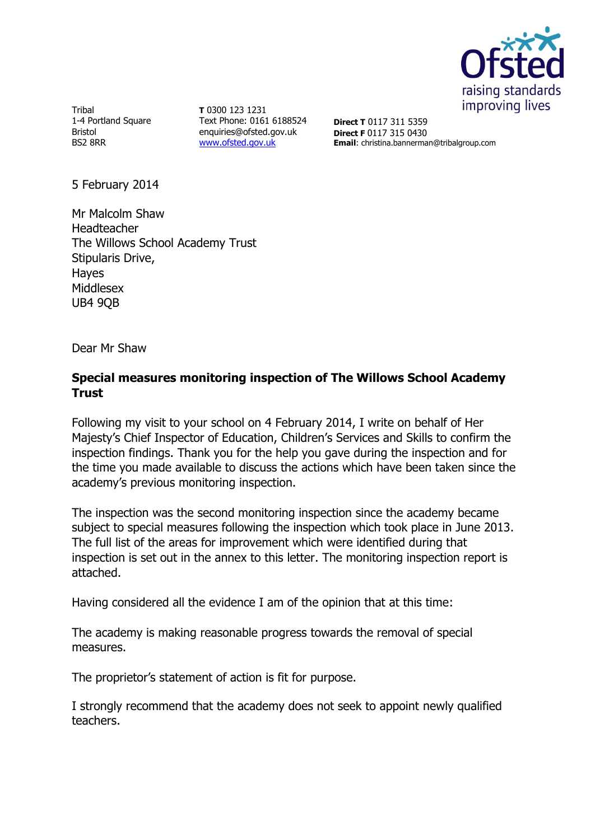

Tribal 1-4 Portland Square Bristol BS2 8RR

**T** 0300 123 1231 Text Phone: 0161 6188524 enquiries@ofsted.gov.uk [www.ofsted.gov.uk](http://www.ofsted.gov.uk/)

**Direct T** 0117 311 5359 **Direct F** 0117 315 0430 **Email**: christina.bannerman@tribalgroup.com

5 February 2014

Mr Malcolm Shaw Headteacher The Willows School Academy Trust Stipularis Drive, Hayes Middlesex UB4 9QB

Dear Mr Shaw

#### **Special measures monitoring inspection of The Willows School Academy Trust**

Following my visit to your school on 4 February 2014, I write on behalf of Her Majesty's Chief Inspector of Education, Children's Services and Skills to confirm the inspection findings. Thank you for the help you gave during the inspection and for the time you made available to discuss the actions which have been taken since the academy's previous monitoring inspection.

The inspection was the second monitoring inspection since the academy became subject to special measures following the inspection which took place in June 2013. The full list of the areas for improvement which were identified during that inspection is set out in the annex to this letter. The monitoring inspection report is attached.

Having considered all the evidence I am of the opinion that at this time:

The academy is making reasonable progress towards the removal of special measures.

The proprietor's statement of action is fit for purpose.

I strongly recommend that the academy does not seek to appoint newly qualified teachers.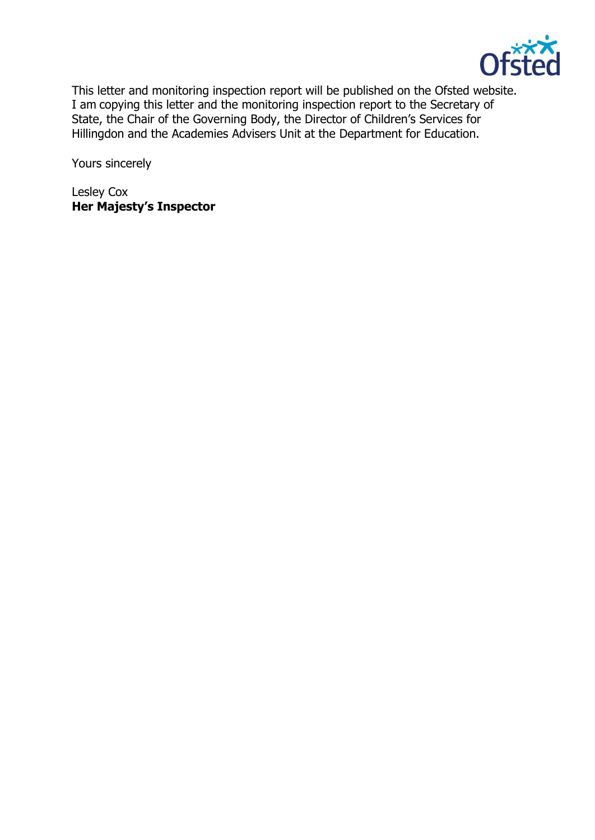

This letter and monitoring inspection report will be published on the Ofsted website. I am copying this letter and the monitoring inspection report to the Secretary of State, the Chair of the Governing Body, the Director of Children's Services for Hillingdon and the Academies Advisers Unit at the Department for Education.

Yours sincerely

Lesley Cox **Her Majesty's Inspector**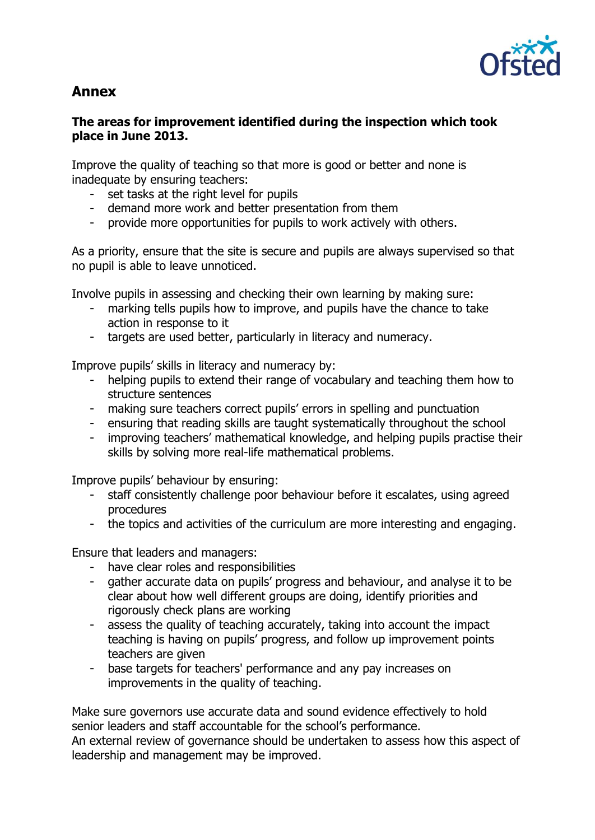

# **Annex**

### **The areas for improvement identified during the inspection which took place in June 2013.**

Improve the quality of teaching so that more is good or better and none is inadequate by ensuring teachers:

- set tasks at the right level for pupils
- demand more work and better presentation from them
- provide more opportunities for pupils to work actively with others.

As a priority, ensure that the site is secure and pupils are always supervised so that no pupil is able to leave unnoticed.

Involve pupils in assessing and checking their own learning by making sure:

- marking tells pupils how to improve, and pupils have the chance to take action in response to it
- targets are used better, particularly in literacy and numeracy.

Improve pupils' skills in literacy and numeracy by:

- helping pupils to extend their range of vocabulary and teaching them how to structure sentences
- making sure teachers correct pupils' errors in spelling and punctuation
- ensuring that reading skills are taught systematically throughout the school
- improving teachers' mathematical knowledge, and helping pupils practise their skills by solving more real-life mathematical problems.

Improve pupils' behaviour by ensuring:

- staff consistently challenge poor behaviour before it escalates, using agreed procedures
- the topics and activities of the curriculum are more interesting and engaging.

Ensure that leaders and managers:

- have clear roles and responsibilities
- gather accurate data on pupils' progress and behaviour, and analyse it to be clear about how well different groups are doing, identify priorities and rigorously check plans are working
- assess the quality of teaching accurately, taking into account the impact teaching is having on pupils' progress, and follow up improvement points teachers are given
- base targets for teachers' performance and any pay increases on improvements in the quality of teaching.

Make sure governors use accurate data and sound evidence effectively to hold senior leaders and staff accountable for the school's performance.

An external review of governance should be undertaken to assess how this aspect of leadership and management may be improved.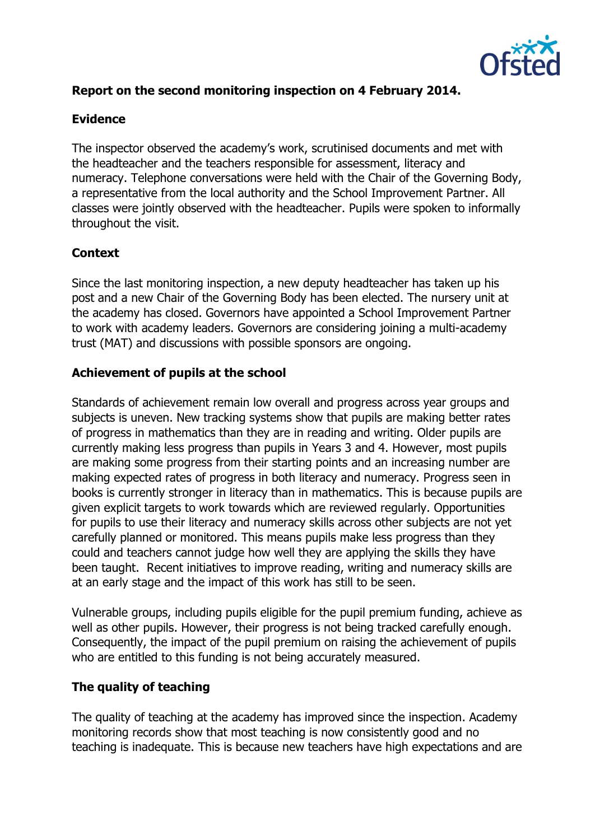

## **Report on the second monitoring inspection on 4 February 2014.**

#### **Evidence**

The inspector observed the academy's work, scrutinised documents and met with the headteacher and the teachers responsible for assessment, literacy and numeracy. Telephone conversations were held with the Chair of the Governing Body, a representative from the local authority and the School Improvement Partner. All classes were jointly observed with the headteacher. Pupils were spoken to informally throughout the visit.

#### **Context**

Since the last monitoring inspection, a new deputy headteacher has taken up his post and a new Chair of the Governing Body has been elected. The nursery unit at the academy has closed. Governors have appointed a School Improvement Partner to work with academy leaders. Governors are considering joining a multi-academy trust (MAT) and discussions with possible sponsors are ongoing.

#### **Achievement of pupils at the school**

Standards of achievement remain low overall and progress across year groups and subjects is uneven. New tracking systems show that pupils are making better rates of progress in mathematics than they are in reading and writing. Older pupils are currently making less progress than pupils in Years 3 and 4. However, most pupils are making some progress from their starting points and an increasing number are making expected rates of progress in both literacy and numeracy. Progress seen in books is currently stronger in literacy than in mathematics. This is because pupils are given explicit targets to work towards which are reviewed regularly. Opportunities for pupils to use their literacy and numeracy skills across other subjects are not yet carefully planned or monitored. This means pupils make less progress than they could and teachers cannot judge how well they are applying the skills they have been taught. Recent initiatives to improve reading, writing and numeracy skills are at an early stage and the impact of this work has still to be seen.

Vulnerable groups, including pupils eligible for the pupil premium funding, achieve as well as other pupils. However, their progress is not being tracked carefully enough. Consequently, the impact of the pupil premium on raising the achievement of pupils who are entitled to this funding is not being accurately measured.

#### **The quality of teaching**

The quality of teaching at the academy has improved since the inspection. Academy monitoring records show that most teaching is now consistently good and no teaching is inadequate. This is because new teachers have high expectations and are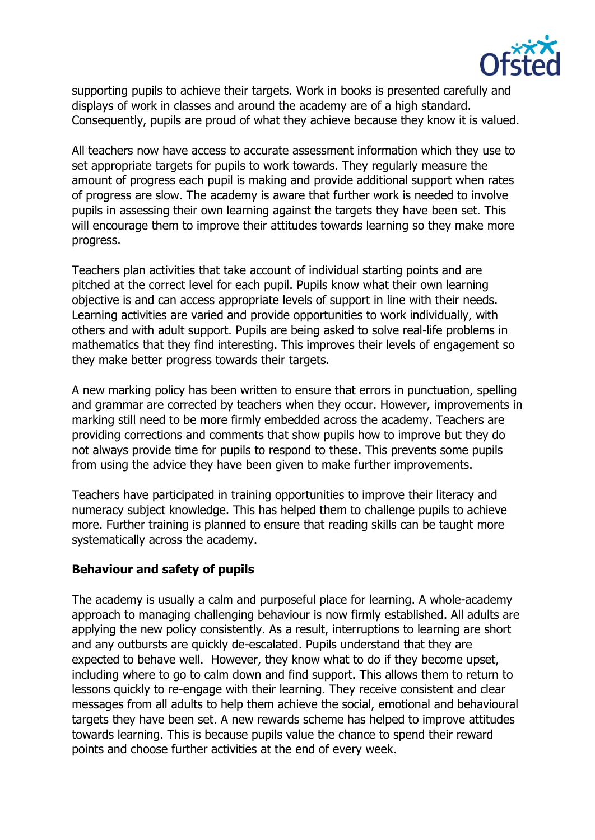

supporting pupils to achieve their targets. Work in books is presented carefully and displays of work in classes and around the academy are of a high standard. Consequently, pupils are proud of what they achieve because they know it is valued.

All teachers now have access to accurate assessment information which they use to set appropriate targets for pupils to work towards. They regularly measure the amount of progress each pupil is making and provide additional support when rates of progress are slow. The academy is aware that further work is needed to involve pupils in assessing their own learning against the targets they have been set. This will encourage them to improve their attitudes towards learning so they make more progress.

Teachers plan activities that take account of individual starting points and are pitched at the correct level for each pupil. Pupils know what their own learning objective is and can access appropriate levels of support in line with their needs. Learning activities are varied and provide opportunities to work individually, with others and with adult support. Pupils are being asked to solve real-life problems in mathematics that they find interesting. This improves their levels of engagement so they make better progress towards their targets.

A new marking policy has been written to ensure that errors in punctuation, spelling and grammar are corrected by teachers when they occur. However, improvements in marking still need to be more firmly embedded across the academy. Teachers are providing corrections and comments that show pupils how to improve but they do not always provide time for pupils to respond to these. This prevents some pupils from using the advice they have been given to make further improvements.

Teachers have participated in training opportunities to improve their literacy and numeracy subject knowledge. This has helped them to challenge pupils to achieve more. Further training is planned to ensure that reading skills can be taught more systematically across the academy.

#### **Behaviour and safety of pupils**

The academy is usually a calm and purposeful place for learning. A whole-academy approach to managing challenging behaviour is now firmly established. All adults are applying the new policy consistently. As a result, interruptions to learning are short and any outbursts are quickly de-escalated. Pupils understand that they are expected to behave well. However, they know what to do if they become upset, including where to go to calm down and find support. This allows them to return to lessons quickly to re-engage with their learning. They receive consistent and clear messages from all adults to help them achieve the social, emotional and behavioural targets they have been set. A new rewards scheme has helped to improve attitudes towards learning. This is because pupils value the chance to spend their reward points and choose further activities at the end of every week.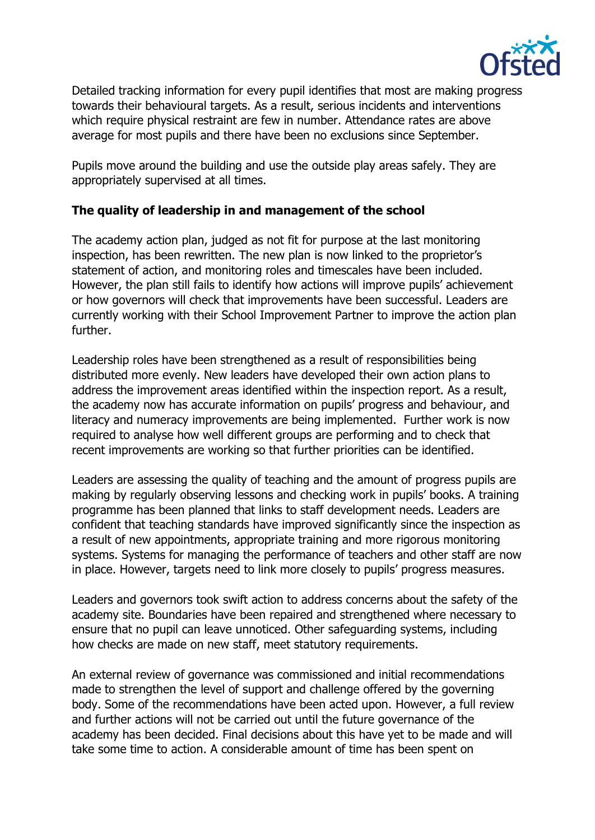

Detailed tracking information for every pupil identifies that most are making progress towards their behavioural targets. As a result, serious incidents and interventions which require physical restraint are few in number. Attendance rates are above average for most pupils and there have been no exclusions since September.

Pupils move around the building and use the outside play areas safely. They are appropriately supervised at all times.

#### **The quality of leadership in and management of the school**

The academy action plan, judged as not fit for purpose at the last monitoring inspection, has been rewritten. The new plan is now linked to the proprietor's statement of action, and monitoring roles and timescales have been included. However, the plan still fails to identify how actions will improve pupils' achievement or how governors will check that improvements have been successful. Leaders are currently working with their School Improvement Partner to improve the action plan further.

Leadership roles have been strengthened as a result of responsibilities being distributed more evenly. New leaders have developed their own action plans to address the improvement areas identified within the inspection report. As a result, the academy now has accurate information on pupils' progress and behaviour, and literacy and numeracy improvements are being implemented. Further work is now required to analyse how well different groups are performing and to check that recent improvements are working so that further priorities can be identified.

Leaders are assessing the quality of teaching and the amount of progress pupils are making by regularly observing lessons and checking work in pupils' books. A training programme has been planned that links to staff development needs. Leaders are confident that teaching standards have improved significantly since the inspection as a result of new appointments, appropriate training and more rigorous monitoring systems. Systems for managing the performance of teachers and other staff are now in place. However, targets need to link more closely to pupils' progress measures.

Leaders and governors took swift action to address concerns about the safety of the academy site. Boundaries have been repaired and strengthened where necessary to ensure that no pupil can leave unnoticed. Other safeguarding systems, including how checks are made on new staff, meet statutory requirements.

An external review of governance was commissioned and initial recommendations made to strengthen the level of support and challenge offered by the governing body. Some of the recommendations have been acted upon. However, a full review and further actions will not be carried out until the future governance of the academy has been decided. Final decisions about this have yet to be made and will take some time to action. A considerable amount of time has been spent on